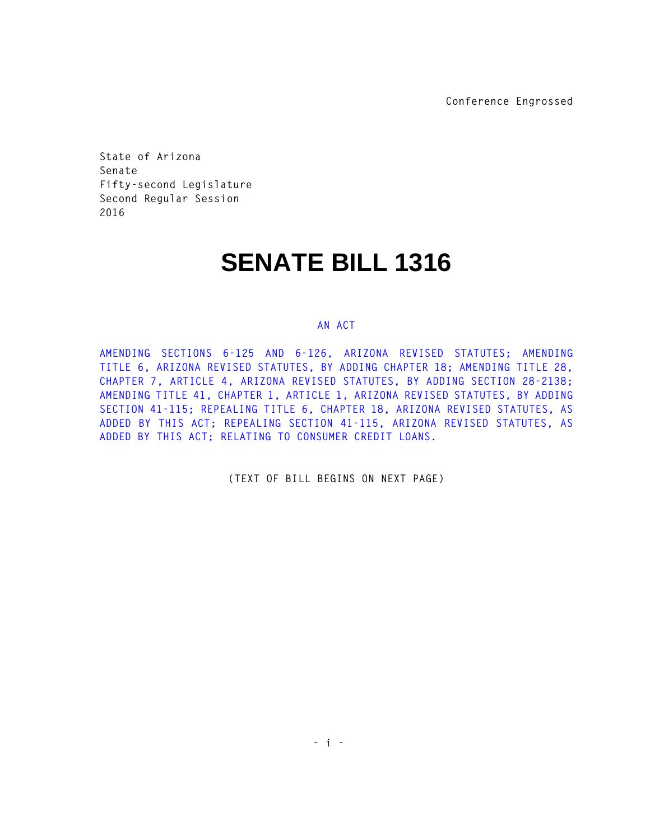**Conference Engrossed**

**State of Arizona Senate Fifty-second Legislature Second Regular Session 2016** 

## **SENATE BILL 1316**

## **AN ACT**

**AMENDING SECTIONS 6-125 AND 6-126, ARIZONA REVISED STATUTES; AMENDING TITLE 6, ARIZONA REVISED STATUTES, BY ADDING CHAPTER 18; AMENDING TITLE 28, CHAPTER 7, ARTICLE 4, ARIZONA REVISED STATUTES, BY ADDING SECTION 28-2138; AMENDING TITLE 41, CHAPTER 1, ARTICLE 1, ARIZONA REVISED STATUTES, BY ADDING SECTION 41-115; REPEALING TITLE 6, CHAPTER 18, ARIZONA REVISED STATUTES, AS ADDED BY THIS ACT; REPEALING SECTION 41-115, ARIZONA REVISED STATUTES, AS ADDED BY THIS ACT; RELATING TO CONSUMER CREDIT LOANS.** 

**(TEXT OF BILL BEGINS ON NEXT PAGE)**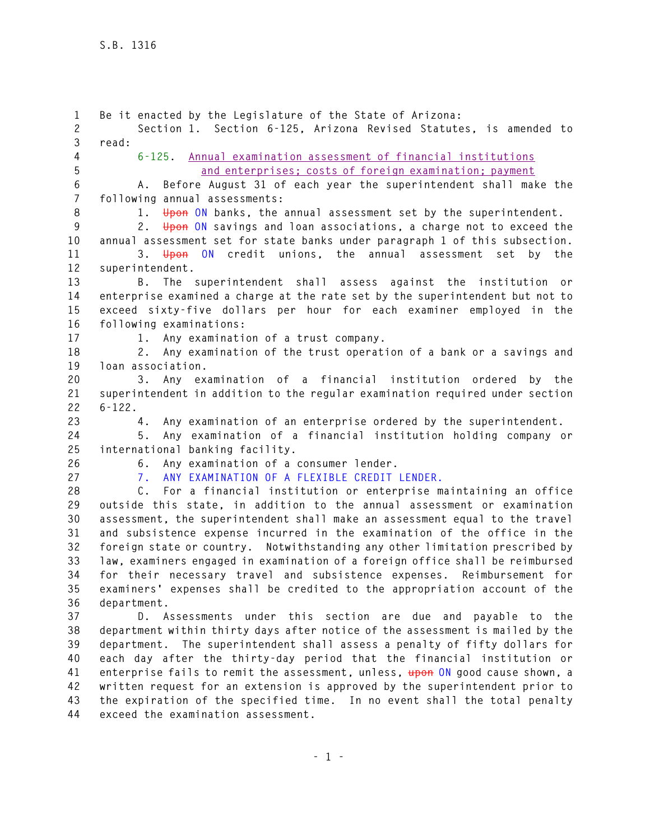**1 Be it enacted by the Legislature of the State of Arizona: 2 Section 1. Section 6-125, Arizona Revised Statutes, is amended to 3 read: 4 6-125. Annual examination assessment of financial institutions 5 and enterprises; costs of foreign examination; payment 6 A. Before August 31 of each year the superintendent shall make the 7 following annual assessments: 8 1. Upon ON banks, the annual assessment set by the superintendent. 9 2. Upon ON savings and loan associations, a charge not to exceed the 10 annual assessment set for state banks under paragraph 1 of this subsection. 11 3. Upon ON credit unions, the annual assessment set by the 12 superintendent. 13 B. The superintendent shall assess against the institution or 14 enterprise examined a charge at the rate set by the superintendent but not to 15 exceed sixty-five dollars per hour for each examiner employed in the 16 following examinations: 17 1. Any examination of a trust company. 18 2. Any examination of the trust operation of a bank or a savings and 19 loan association. 20 3. Any examination of a financial institution ordered by the 21 superintendent in addition to the regular examination required under section 22 6-122. 23 4. Any examination of an enterprise ordered by the superintendent. 24 5. Any examination of a financial institution holding company or 25 international banking facility. 26 6. Any examination of a consumer lender. 27 7. ANY EXAMINATION OF A FLEXIBLE CREDIT LENDER. 28 C. For a financial institution or enterprise maintaining an office 29 outside this state, in addition to the annual assessment or examination 30 assessment, the superintendent shall make an assessment equal to the travel 31 and subsistence expense incurred in the examination of the office in the 32 foreign state or country. Notwithstanding any other limitation prescribed by 33 law, examiners engaged in examination of a foreign office shall be reimbursed 34 for their necessary travel and subsistence expenses. Reimbursement for 35 examiners' expenses shall be credited to the appropriation account of the 36 department. 37 D. Assessments under this section are due and payable to the 38 department within thirty days after notice of the assessment is mailed by the 39 department. The superintendent shall assess a penalty of fifty dollars for 40 each day after the thirty-day period that the financial institution or 41 enterprise fails to remit the assessment, unless, upon ON good cause shown, a 42 written request for an extension is approved by the superintendent prior to 43 the expiration of the specified time. In no event shall the total penalty 44 exceed the examination assessment.**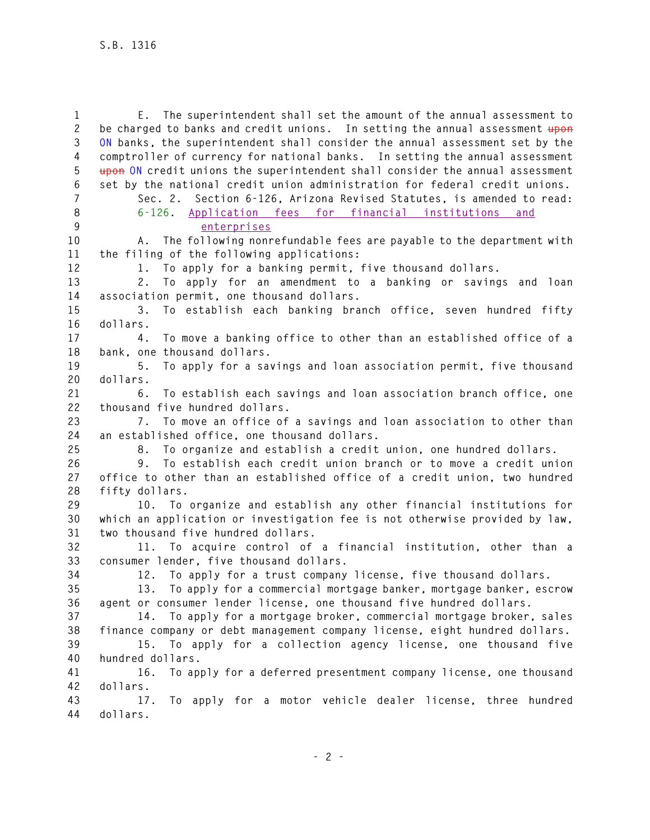**1 E. The superintendent shall set the amount of the annual assessment to 2 be charged to banks and credit unions. In setting the annual assessment upon 3 ON banks, the superintendent shall consider the annual assessment set by the 4 comptroller of currency for national banks. In setting the annual assessment 5 upon ON credit unions the superintendent shall consider the annual assessment 6 set by the national credit union administration for federal credit unions. 7 Sec. 2. Section 6-126, Arizona Revised Statutes, is amended to read: 8 6-126. Application fees for financial institutions and 9 enterprises 10 A. The following nonrefundable fees are payable to the department with 11 the filing of the following applications: 12 1. To apply for a banking permit, five thousand dollars. 13 2. To apply for an amendment to a banking or savings and loan 14 association permit, one thousand dollars. 15 3. To establish each banking branch office, seven hundred fifty 16 dollars. 17 4. To move a banking office to other than an established office of a 18 bank, one thousand dollars. 19 5. To apply for a savings and loan association permit, five thousand 20 dollars. 21 6. To establish each savings and loan association branch office, one 22 thousand five hundred dollars. 23 7. To move an office of a savings and loan association to other than 24 an established office, one thousand dollars. 25 8. To organize and establish a credit union, one hundred dollars. 26 9. To establish each credit union branch or to move a credit union 27 office to other than an established office of a credit union, two hundred 28 fifty dollars. 29 10. To organize and establish any other financial institutions for 30 which an application or investigation fee is not otherwise provided by law, 31 two thousand five hundred dollars. 32 11. To acquire control of a financial institution, other than a 33 consumer lender, five thousand dollars. 34 12. To apply for a trust company license, five thousand dollars. 35 13. To apply for a commercial mortgage banker, mortgage banker, escrow 36 agent or consumer lender license, one thousand five hundred dollars. 37 14. To apply for a mortgage broker, commercial mortgage broker, sales 38 finance company or debt management company license, eight hundred dollars. 39 15. To apply for a collection agency license, one thousand five 40 hundred dollars. 41 16. To apply for a deferred presentment company license, one thousand 42 dollars. 43 17. To apply for a motor vehicle dealer license, three hundred 44 dollars.**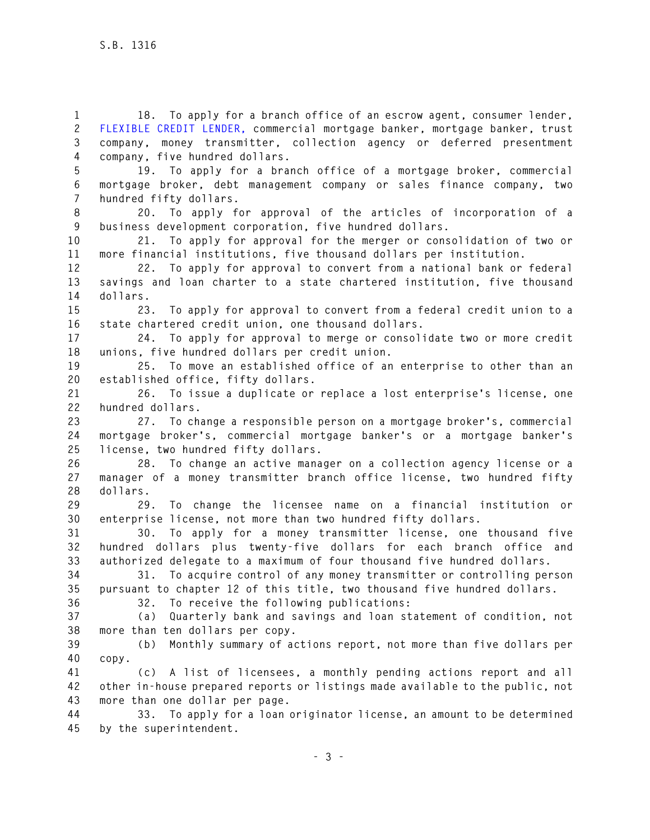**1 18. To apply for a branch office of an escrow agent, consumer lender, 2 FLEXIBLE CREDIT LENDER, commercial mortgage banker, mortgage banker, trust 3 company, money transmitter, collection agency or deferred presentment 4 company, five hundred dollars.** 

**5 19. To apply for a branch office of a mortgage broker, commercial 6 mortgage broker, debt management company or sales finance company, two 7 hundred fifty dollars.** 

**8 20. To apply for approval of the articles of incorporation of a 9 business development corporation, five hundred dollars.** 

**10 21. To apply for approval for the merger or consolidation of two or 11 more financial institutions, five thousand dollars per institution.** 

**12 22. To apply for approval to convert from a national bank or federal 13 savings and loan charter to a state chartered institution, five thousand 14 dollars.** 

**15 23. To apply for approval to convert from a federal credit union to a 16 state chartered credit union, one thousand dollars.** 

**17 24. To apply for approval to merge or consolidate two or more credit 18 unions, five hundred dollars per credit union.** 

**19 25. To move an established office of an enterprise to other than an 20 established office, fifty dollars.** 

**21 26. To issue a duplicate or replace a lost enterprise's license, one 22 hundred dollars.** 

**23 27. To change a responsible person on a mortgage broker's, commercial 24 mortgage broker's, commercial mortgage banker's or a mortgage banker's 25 license, two hundred fifty dollars.** 

**26 28. To change an active manager on a collection agency license or a 27 manager of a money transmitter branch office license, two hundred fifty 28 dollars.** 

**29 29. To change the licensee name on a financial institution or 30 enterprise license, not more than two hundred fifty dollars.** 

**31 30. To apply for a money transmitter license, one thousand five 32 hundred dollars plus twenty-five dollars for each branch office and 33 authorized delegate to a maximum of four thousand five hundred dollars.** 

**34 31. To acquire control of any money transmitter or controlling person 35 pursuant to chapter 12 of this title, two thousand five hundred dollars.** 

**36 32. To receive the following publications:** 

**37 (a) Quarterly bank and savings and loan statement of condition, not 38 more than ten dollars per copy.** 

**39 (b) Monthly summary of actions report, not more than five dollars per 40 copy.** 

**41 (c) A list of licensees, a monthly pending actions report and all 42 other in-house prepared reports or listings made available to the public, not 43 more than one dollar per page.** 

**44 33. To apply for a loan originator license, an amount to be determined 45 by the superintendent.**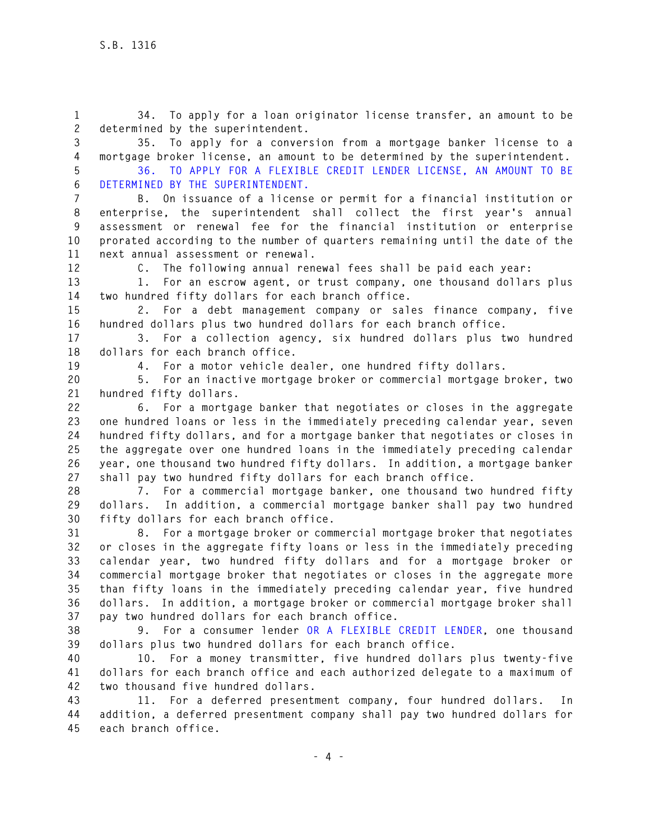**1 34. To apply for a loan originator license transfer, an amount to be 2 determined by the superintendent.** 

**3 35. To apply for a conversion from a mortgage banker license to a 4 mortgage broker license, an amount to be determined by the superintendent.** 

**5 36. TO APPLY FOR A FLEXIBLE CREDIT LENDER LICENSE, AN AMOUNT TO BE 6 DETERMINED BY THE SUPERINTENDENT.** 

**7 B. On issuance of a license or permit for a financial institution or 8 enterprise, the superintendent shall collect the first year's annual 9 assessment or renewal fee for the financial institution or enterprise 10 prorated according to the number of quarters remaining until the date of the 11 next annual assessment or renewal.** 

**12 C. The following annual renewal fees shall be paid each year:** 

**13 1. For an escrow agent, or trust company, one thousand dollars plus 14 two hundred fifty dollars for each branch office.** 

**15 2. For a debt management company or sales finance company, five 16 hundred dollars plus two hundred dollars for each branch office.** 

**17 3. For a collection agency, six hundred dollars plus two hundred 18 dollars for each branch office.** 

**19 4. For a motor vehicle dealer, one hundred fifty dollars.** 

**20 5. For an inactive mortgage broker or commercial mortgage broker, two 21 hundred fifty dollars.** 

**22 6. For a mortgage banker that negotiates or closes in the aggregate 23 one hundred loans or less in the immediately preceding calendar year, seven 24 hundred fifty dollars, and for a mortgage banker that negotiates or closes in 25 the aggregate over one hundred loans in the immediately preceding calendar 26 year, one thousand two hundred fifty dollars. In addition, a mortgage banker 27 shall pay two hundred fifty dollars for each branch office.** 

**28 7. For a commercial mortgage banker, one thousand two hundred fifty 29 dollars. In addition, a commercial mortgage banker shall pay two hundred 30 fifty dollars for each branch office.** 

**31 8. For a mortgage broker or commercial mortgage broker that negotiates 32 or closes in the aggregate fifty loans or less in the immediately preceding 33 calendar year, two hundred fifty dollars and for a mortgage broker or 34 commercial mortgage broker that negotiates or closes in the aggregate more 35 than fifty loans in the immediately preceding calendar year, five hundred 36 dollars. In addition, a mortgage broker or commercial mortgage broker shall 37 pay two hundred dollars for each branch office.** 

**38 9. For a consumer lender OR A FLEXIBLE CREDIT LENDER, one thousand 39 dollars plus two hundred dollars for each branch office.** 

**40 10. For a money transmitter, five hundred dollars plus twenty-five 41 dollars for each branch office and each authorized delegate to a maximum of 42 two thousand five hundred dollars.** 

**43 11. For a deferred presentment company, four hundred dollars. In 44 addition, a deferred presentment company shall pay two hundred dollars for 45 each branch office.**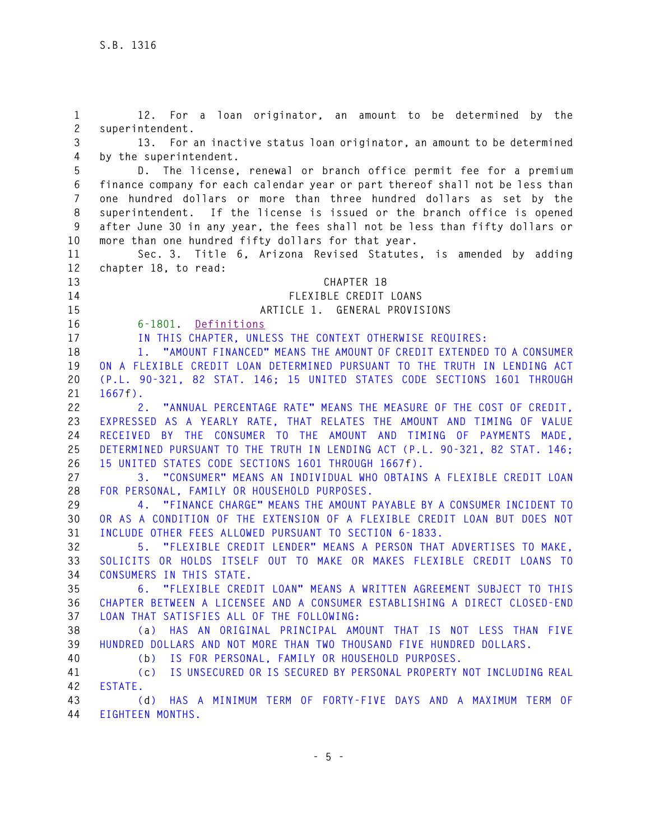**1 12. For a loan originator, an amount to be determined by the 2 superintendent. 3 13. For an inactive status loan originator, an amount to be determined 4 by the superintendent. 5 D. The license, renewal or branch office permit fee for a premium 6 finance company for each calendar year or part thereof shall not be less than 7 one hundred dollars or more than three hundred dollars as set by the 8 superintendent. If the license is issued or the branch office is opened 9 after June 30 in any year, the fees shall not be less than fifty dollars or 10 more than one hundred fifty dollars for that year. 11 Sec. 3. Title 6, Arizona Revised Statutes, is amended by adding 12 chapter 18, to read: 13 CHAPTER 18 14 FLEXIBLE CREDIT LOANS 15 ARTICLE 1. GENERAL PROVISIONS 16 6-1801. Definitions 17 IN THIS CHAPTER, UNLESS THE CONTEXT OTHERWISE REQUIRES: 18 1. "AMOUNT FINANCED" MEANS THE AMOUNT OF CREDIT EXTENDED TO A CONSUMER 19 ON A FLEXIBLE CREDIT LOAN DETERMINED PURSUANT TO THE TRUTH IN LENDING ACT 20 (P.L. 90-321, 82 STAT. 146; 15 UNITED STATES CODE SECTIONS 1601 THROUGH 21 1667f). 22 2. "ANNUAL PERCENTAGE RATE" MEANS THE MEASURE OF THE COST OF CREDIT, 23 EXPRESSED AS A YEARLY RATE, THAT RELATES THE AMOUNT AND TIMING OF VALUE 24 RECEIVED BY THE CONSUMER TO THE AMOUNT AND TIMING OF PAYMENTS MADE, 25 DETERMINED PURSUANT TO THE TRUTH IN LENDING ACT (P.L. 90-321, 82 STAT. 146; 26 15 UNITED STATES CODE SECTIONS 1601 THROUGH 1667f). 27 3. "CONSUMER" MEANS AN INDIVIDUAL WHO OBTAINS A FLEXIBLE CREDIT LOAN 28 FOR PERSONAL, FAMILY OR HOUSEHOLD PURPOSES. 29 4. "FINANCE CHARGE" MEANS THE AMOUNT PAYABLE BY A CONSUMER INCIDENT TO 30 OR AS A CONDITION OF THE EXTENSION OF A FLEXIBLE CREDIT LOAN BUT DOES NOT 31 INCLUDE OTHER FEES ALLOWED PURSUANT TO SECTION 6-1833. 32 5. "FLEXIBLE CREDIT LENDER" MEANS A PERSON THAT ADVERTISES TO MAKE, 33 SOLICITS OR HOLDS ITSELF OUT TO MAKE OR MAKES FLEXIBLE CREDIT LOANS TO 34 CONSUMERS IN THIS STATE. 35 6. "FLEXIBLE CREDIT LOAN" MEANS A WRITTEN AGREEMENT SUBJECT TO THIS 36 CHAPTER BETWEEN A LICENSEE AND A CONSUMER ESTABLISHING A DIRECT CLOSED-END 37 LOAN THAT SATISFIES ALL OF THE FOLLOWING: 38 (a) HAS AN ORIGINAL PRINCIPAL AMOUNT THAT IS NOT LESS THAN FIVE 39 HUNDRED DOLLARS AND NOT MORE THAN TWO THOUSAND FIVE HUNDRED DOLLARS. 40 (b) IS FOR PERSONAL, FAMILY OR HOUSEHOLD PURPOSES. 41 (c) IS UNSECURED OR IS SECURED BY PERSONAL PROPERTY NOT INCLUDING REAL 42 ESTATE. 43 (d) HAS A MINIMUM TERM OF FORTY-FIVE DAYS AND A MAXIMUM TERM OF 44 EIGHTEEN MONTHS.**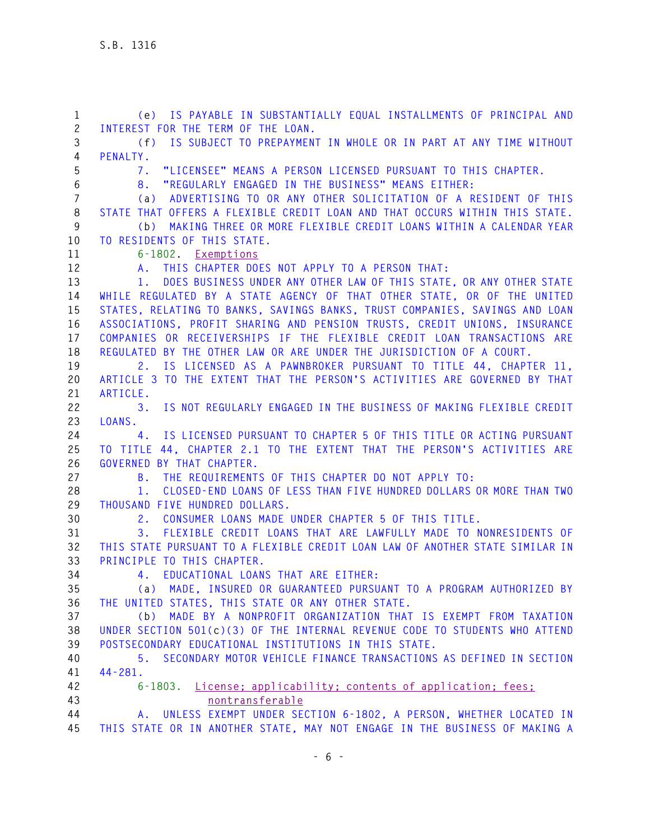| $\mathbf{1}$   | (e) IS PAYABLE IN SUBSTANTIALLY EQUAL INSTALLMENTS OF PRINCIPAL AND                                                                           |
|----------------|-----------------------------------------------------------------------------------------------------------------------------------------------|
| $\mathbf{2}$   | INTEREST FOR THE TERM OF THE LOAN.                                                                                                            |
| 3              | IS SUBJECT TO PREPAYMENT IN WHOLE OR IN PART AT ANY TIME WITHOUT<br>(f)                                                                       |
| 4              | PENALTY.                                                                                                                                      |
| 5              | "LICENSEE" MEANS A PERSON LICENSED PURSUANT TO THIS CHAPTER.<br>7.                                                                            |
| 6              | "REGULARLY ENGAGED IN THE BUSINESS" MEANS EITHER:<br>8.                                                                                       |
| $\overline{7}$ | (a) ADVERTISING TO OR ANY OTHER SOLICITATION OF A RESIDENT OF THIS                                                                            |
| 8              | STATE THAT OFFERS A FLEXIBLE CREDIT LOAN AND THAT OCCURS WITHIN THIS STATE.                                                                   |
| 9              | MAKING THREE OR MORE FLEXIBLE CREDIT LOANS WITHIN A CALENDAR YEAR<br>(b)                                                                      |
| 10             | TO RESIDENTS OF THIS STATE.                                                                                                                   |
| 11             | 6-1802. Exemptions                                                                                                                            |
| 12             | A. THIS CHAPTER DOES NOT APPLY TO A PERSON THAT:                                                                                              |
| 13             | DOES BUSINESS UNDER ANY OTHER LAW OF THIS STATE, OR ANY OTHER STATE<br>1.                                                                     |
| 14             | WHILE REGULATED BY A STATE AGENCY OF THAT OTHER STATE, OR OF THE UNITED                                                                       |
| 15             | STATES, RELATING TO BANKS, SAVINGS BANKS, TRUST COMPANIES, SAVINGS AND LOAN                                                                   |
| 16             | ASSOCIATIONS, PROFIT SHARING AND PENSION TRUSTS, CREDIT UNIONS, INSURANCE                                                                     |
| 17             | COMPANIES OR RECEIVERSHIPS IF THE FLEXIBLE CREDIT LOAN TRANSACTIONS ARE                                                                       |
| 18             | REGULATED BY THE OTHER LAW OR ARE UNDER THE JURISDICTION OF A COURT.                                                                          |
| 19             | 2. IS LICENSED AS A PAWNBROKER PURSUANT TO TITLE 44, CHAPTER 11,<br>ARTICLE 3 TO THE EXTENT THAT THE PERSON'S ACTIVITIES ARE GOVERNED BY THAT |
| 20<br>21       | ARTICLE.                                                                                                                                      |
| 22             | IS NOT REGULARLY ENGAGED IN THE BUSINESS OF MAKING FLEXIBLE CREDIT<br>3.                                                                      |
| 23             | LOANS.                                                                                                                                        |
| 24             | IS LICENSED PURSUANT TO CHAPTER 5 OF THIS TITLE OR ACTING PURSUANT<br>4.                                                                      |
| 25             | TO TITLE 44, CHAPTER 2.1 TO THE EXTENT THAT THE PERSON'S ACTIVITIES ARE                                                                       |
| 26             | GOVERNED BY THAT CHAPTER.                                                                                                                     |
| 27             | B. THE REQUIREMENTS OF THIS CHAPTER DO NOT APPLY TO:                                                                                          |
| 28             | CLOSED-END LOANS OF LESS THAN FIVE HUNDRED DOLLARS OR MORE THAN TWO<br>1.                                                                     |
| 29             | THOUSAND FIVE HUNDRED DOLLARS.                                                                                                                |
| 30             | CONSUMER LOANS MADE UNDER CHAPTER 5 OF THIS TITLE.<br>2.                                                                                      |
| 31             | FLEXIBLE CREDIT LOANS THAT ARE LAWFULLY MADE TO NONRESIDENTS OF<br>3.                                                                         |
| 32             | THIS STATE PURSUANT TO A FLEXIBLE CREDIT LOAN LAW OF ANOTHER STATE SIMILAR IN                                                                 |
| 33             | PRINCIPLE TO THIS CHAPTER.                                                                                                                    |
| 34             | 4. EDUCATIONAL LOANS THAT ARE EITHER:                                                                                                         |
| 35             | (a) MADE, INSURED OR GUARANTEED PURSUANT TO A PROGRAM AUTHORIZED BY                                                                           |
| 36             | THE UNITED STATES, THIS STATE OR ANY OTHER STATE.                                                                                             |
| 37             | (b) MADE BY A NONPROFIT ORGANIZATION THAT IS EXEMPT FROM TAXATION                                                                             |
| 38             | UNDER SECTION 501(c)(3) OF THE INTERNAL REVENUE CODE TO STUDENTS WHO ATTEND                                                                   |
| 39             | POSTSECONDARY EDUCATIONAL INSTITUTIONS IN THIS STATE.                                                                                         |
| 40             | SECONDARY MOTOR VEHICLE FINANCE TRANSACTIONS AS DEFINED IN SECTION<br>5.                                                                      |
| 41             | $44 - 281$ .                                                                                                                                  |
| 42             | 6-1803. License; applicability; contents of application; fees;                                                                                |
| 43             | nontransferable                                                                                                                               |
| 44             | A. UNLESS EXEMPT UNDER SECTION 6-1802, A PERSON, WHETHER LOCATED IN                                                                           |
| 45             | THIS STATE OR IN ANOTHER STATE, MAY NOT ENGAGE IN THE BUSINESS OF MAKING A                                                                    |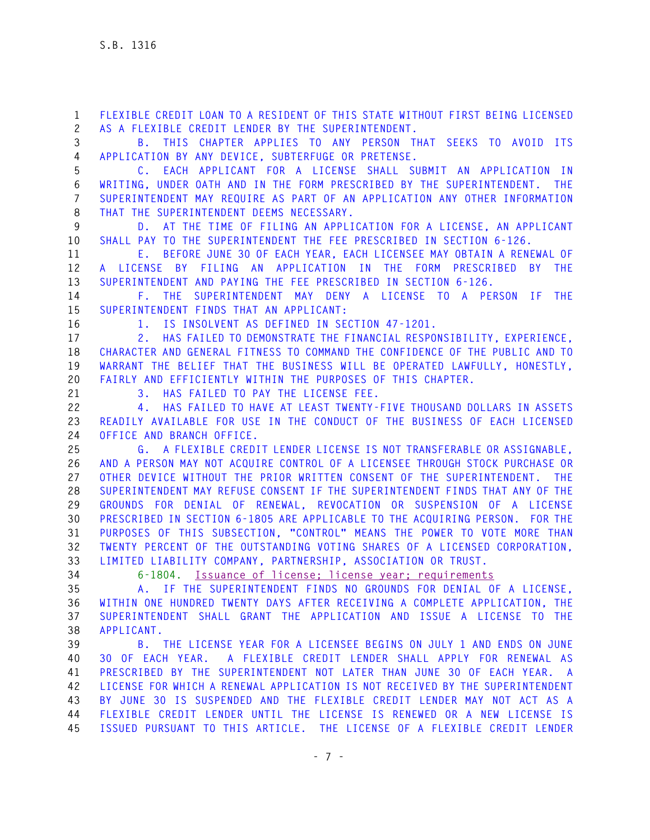**1 FLEXIBLE CREDIT LOAN TO A RESIDENT OF THIS STATE WITHOUT FIRST BEING LICENSED 2 AS A FLEXIBLE CREDIT LENDER BY THE SUPERINTENDENT.** 

**3 B. THIS CHAPTER APPLIES TO ANY PERSON THAT SEEKS TO AVOID ITS 4 APPLICATION BY ANY DEVICE, SUBTERFUGE OR PRETENSE.** 

**5 C. EACH APPLICANT FOR A LICENSE SHALL SUBMIT AN APPLICATION IN 6 WRITING, UNDER OATH AND IN THE FORM PRESCRIBED BY THE SUPERINTENDENT. THE 7 SUPERINTENDENT MAY REQUIRE AS PART OF AN APPLICATION ANY OTHER INFORMATION 8 THAT THE SUPERINTENDENT DEEMS NECESSARY.** 

**9 D. AT THE TIME OF FILING AN APPLICATION FOR A LICENSE, AN APPLICANT 10 SHALL PAY TO THE SUPERINTENDENT THE FEE PRESCRIBED IN SECTION 6-126.** 

**11 E. BEFORE JUNE 30 OF EACH YEAR, EACH LICENSEE MAY OBTAIN A RENEWAL OF 12 A LICENSE BY FILING AN APPLICATION IN THE FORM PRESCRIBED BY THE 13 SUPERINTENDENT AND PAYING THE FEE PRESCRIBED IN SECTION 6-126.** 

**14 F. THE SUPERINTENDENT MAY DENY A LICENSE TO A PERSON IF THE 15 SUPERINTENDENT FINDS THAT AN APPLICANT:** 

**16 1. IS INSOLVENT AS DEFINED IN SECTION 47-1201.** 

**17 2. HAS FAILED TO DEMONSTRATE THE FINANCIAL RESPONSIBILITY, EXPERIENCE, 18 CHARACTER AND GENERAL FITNESS TO COMMAND THE CONFIDENCE OF THE PUBLIC AND TO 19 WARRANT THE BELIEF THAT THE BUSINESS WILL BE OPERATED LAWFULLY, HONESTLY, 20 FAIRLY AND EFFICIENTLY WITHIN THE PURPOSES OF THIS CHAPTER.** 

**21 3. HAS FAILED TO PAY THE LICENSE FEE.** 

**22 4. HAS FAILED TO HAVE AT LEAST TWENTY-FIVE THOUSAND DOLLARS IN ASSETS 23 READILY AVAILABLE FOR USE IN THE CONDUCT OF THE BUSINESS OF EACH LICENSED 24 OFFICE AND BRANCH OFFICE.** 

**25 G. A FLEXIBLE CREDIT LENDER LICENSE IS NOT TRANSFERABLE OR ASSIGNABLE, 26 AND A PERSON MAY NOT ACQUIRE CONTROL OF A LICENSEE THROUGH STOCK PURCHASE OR 27 OTHER DEVICE WITHOUT THE PRIOR WRITTEN CONSENT OF THE SUPERINTENDENT. THE 28 SUPERINTENDENT MAY REFUSE CONSENT IF THE SUPERINTENDENT FINDS THAT ANY OF THE 29 GROUNDS FOR DENIAL OF RENEWAL, REVOCATION OR SUSPENSION OF A LICENSE 30 PRESCRIBED IN SECTION 6-1805 ARE APPLICABLE TO THE ACQUIRING PERSON. FOR THE 31 PURPOSES OF THIS SUBSECTION, "CONTROL" MEANS THE POWER TO VOTE MORE THAN 32 TWENTY PERCENT OF THE OUTSTANDING VOTING SHARES OF A LICENSED CORPORATION, 33 LIMITED LIABILITY COMPANY, PARTNERSHIP, ASSOCIATION OR TRUST.** 

**34 6-1804. Issuance of license; license year; requirements**

**35 A. IF THE SUPERINTENDENT FINDS NO GROUNDS FOR DENIAL OF A LICENSE, 36 WITHIN ONE HUNDRED TWENTY DAYS AFTER RECEIVING A COMPLETE APPLICATION, THE 37 SUPERINTENDENT SHALL GRANT THE APPLICATION AND ISSUE A LICENSE TO THE 38 APPLICANT.** 

**39 B. THE LICENSE YEAR FOR A LICENSEE BEGINS ON JULY 1 AND ENDS ON JUNE 40 30 OF EACH YEAR. A FLEXIBLE CREDIT LENDER SHALL APPLY FOR RENEWAL AS 41 PRESCRIBED BY THE SUPERINTENDENT NOT LATER THAN JUNE 30 OF EACH YEAR. A 42 LICENSE FOR WHICH A RENEWAL APPLICATION IS NOT RECEIVED BY THE SUPERINTENDENT 43 BY JUNE 30 IS SUSPENDED AND THE FLEXIBLE CREDIT LENDER MAY NOT ACT AS A 44 FLEXIBLE CREDIT LENDER UNTIL THE LICENSE IS RENEWED OR A NEW LICENSE IS 45 ISSUED PURSUANT TO THIS ARTICLE. THE LICENSE OF A FLEXIBLE CREDIT LENDER**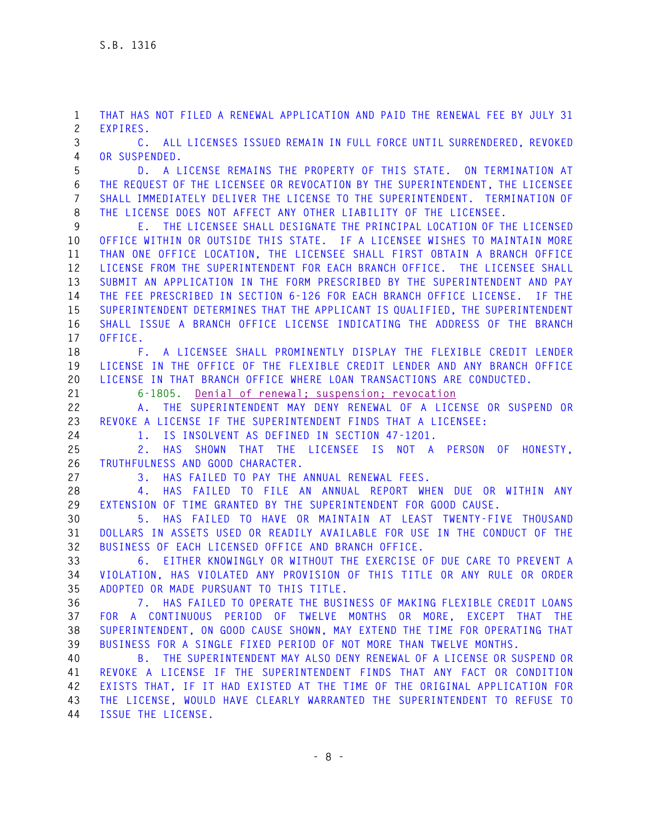**1 THAT HAS NOT FILED A RENEWAL APPLICATION AND PAID THE RENEWAL FEE BY JULY 31 2 EXPIRES.** 

**3 C. ALL LICENSES ISSUED REMAIN IN FULL FORCE UNTIL SURRENDERED, REVOKED 4 OR SUSPENDED.** 

**5 D. A LICENSE REMAINS THE PROPERTY OF THIS STATE. ON TERMINATION AT 6 THE REQUEST OF THE LICENSEE OR REVOCATION BY THE SUPERINTENDENT, THE LICENSEE 7 SHALL IMMEDIATELY DELIVER THE LICENSE TO THE SUPERINTENDENT. TERMINATION OF 8 THE LICENSE DOES NOT AFFECT ANY OTHER LIABILITY OF THE LICENSEE.** 

**9 E. THE LICENSEE SHALL DESIGNATE THE PRINCIPAL LOCATION OF THE LICENSED 10 OFFICE WITHIN OR OUTSIDE THIS STATE. IF A LICENSEE WISHES TO MAINTAIN MORE 11 THAN ONE OFFICE LOCATION, THE LICENSEE SHALL FIRST OBTAIN A BRANCH OFFICE 12 LICENSE FROM THE SUPERINTENDENT FOR EACH BRANCH OFFICE. THE LICENSEE SHALL 13 SUBMIT AN APPLICATION IN THE FORM PRESCRIBED BY THE SUPERINTENDENT AND PAY 14 THE FEE PRESCRIBED IN SECTION 6-126 FOR EACH BRANCH OFFICE LICENSE. IF THE 15 SUPERINTENDENT DETERMINES THAT THE APPLICANT IS QUALIFIED, THE SUPERINTENDENT 16 SHALL ISSUE A BRANCH OFFICE LICENSE INDICATING THE ADDRESS OF THE BRANCH 17 OFFICE.** 

**18 F. A LICENSEE SHALL PROMINENTLY DISPLAY THE FLEXIBLE CREDIT LENDER 19 LICENSE IN THE OFFICE OF THE FLEXIBLE CREDIT LENDER AND ANY BRANCH OFFICE 20 LICENSE IN THAT BRANCH OFFICE WHERE LOAN TRANSACTIONS ARE CONDUCTED.** 

**21 6-1805. Denial of renewal; suspension; revocation**

**22 A. THE SUPERINTENDENT MAY DENY RENEWAL OF A LICENSE OR SUSPEND OR 23 REVOKE A LICENSE IF THE SUPERINTENDENT FINDS THAT A LICENSEE:** 

**24 1. IS INSOLVENT AS DEFINED IN SECTION 47-1201.** 

**25 2. HAS SHOWN THAT THE LICENSEE IS NOT A PERSON OF HONESTY, 26 TRUTHFULNESS AND GOOD CHARACTER.** 

**27 3. HAS FAILED TO PAY THE ANNUAL RENEWAL FEES.** 

**28 4. HAS FAILED TO FILE AN ANNUAL REPORT WHEN DUE OR WITHIN ANY 29 EXTENSION OF TIME GRANTED BY THE SUPERINTENDENT FOR GOOD CAUSE.** 

**30 5. HAS FAILED TO HAVE OR MAINTAIN AT LEAST TWENTY-FIVE THOUSAND 31 DOLLARS IN ASSETS USED OR READILY AVAILABLE FOR USE IN THE CONDUCT OF THE 32 BUSINESS OF EACH LICENSED OFFICE AND BRANCH OFFICE.** 

**33 6. EITHER KNOWINGLY OR WITHOUT THE EXERCISE OF DUE CARE TO PREVENT A 34 VIOLATION, HAS VIOLATED ANY PROVISION OF THIS TITLE OR ANY RULE OR ORDER 35 ADOPTED OR MADE PURSUANT TO THIS TITLE.** 

**36 7. HAS FAILED TO OPERATE THE BUSINESS OF MAKING FLEXIBLE CREDIT LOANS 37 FOR A CONTINUOUS PERIOD OF TWELVE MONTHS OR MORE, EXCEPT THAT THE 38 SUPERINTENDENT, ON GOOD CAUSE SHOWN, MAY EXTEND THE TIME FOR OPERATING THAT 39 BUSINESS FOR A SINGLE FIXED PERIOD OF NOT MORE THAN TWELVE MONTHS.** 

**40 B. THE SUPERINTENDENT MAY ALSO DENY RENEWAL OF A LICENSE OR SUSPEND OR 41 REVOKE A LICENSE IF THE SUPERINTENDENT FINDS THAT ANY FACT OR CONDITION 42 EXISTS THAT, IF IT HAD EXISTED AT THE TIME OF THE ORIGINAL APPLICATION FOR 43 THE LICENSE, WOULD HAVE CLEARLY WARRANTED THE SUPERINTENDENT TO REFUSE TO 44 ISSUE THE LICENSE.**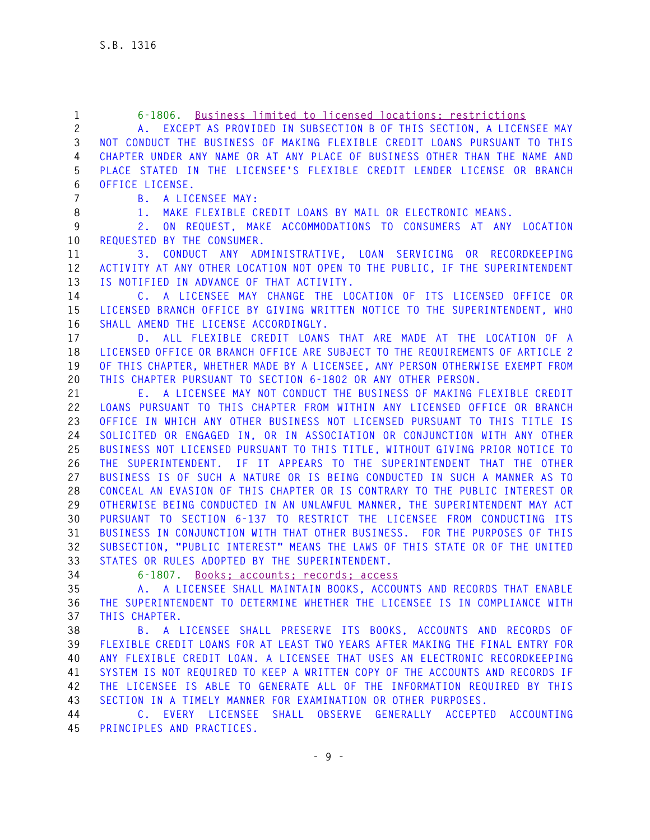| 1        | 6-1806. Business limited to licensed locations; restrictions                                                                  |
|----------|-------------------------------------------------------------------------------------------------------------------------------|
| 2        | EXCEPT AS PROVIDED IN SUBSECTION B OF THIS SECTION, A LICENSEE MAY                                                            |
| 3        | NOT CONDUCT THE BUSINESS OF MAKING FLEXIBLE CREDIT LOANS PURSUANT TO THIS                                                     |
| 4        | CHAPTER UNDER ANY NAME OR AT ANY PLACE OF BUSINESS OTHER THAN THE NAME AND                                                    |
| 5        | PLACE STATED IN THE LICENSEE'S FLEXIBLE CREDIT LENDER LICENSE OR BRANCH                                                       |
| 6        | OFFICE LICENSE.                                                                                                               |
| 7        | A LICENSEE MAY:<br>B.,                                                                                                        |
| 8        | MAKE FLEXIBLE CREDIT LOANS BY MAIL OR ELECTRONIC MEANS.<br>1.                                                                 |
| 9        | ON REQUEST, MAKE ACCOMMODATIONS TO CONSUMERS AT ANY LOCATION<br>2.                                                            |
| 10       | REQUESTED BY THE CONSUMER.                                                                                                    |
| 11       | CONDUCT ANY ADMINISTRATIVE, LOAN SERVICING OR RECORDKEEPING<br>3.                                                             |
| 12       | ACTIVITY AT ANY OTHER LOCATION NOT OPEN TO THE PUBLIC, IF THE SUPERINTENDENT                                                  |
| 13       | IS NOTIFIED IN ADVANCE OF THAT ACTIVITY.                                                                                      |
| 14       | C. A LICENSEE MAY CHANGE THE LOCATION OF ITS LICENSED OFFICE OR                                                               |
| 15       | LICENSED BRANCH OFFICE BY GIVING WRITTEN NOTICE TO THE SUPERINTENDENT, WHO                                                    |
| 16       | SHALL AMEND THE LICENSE ACCORDINGLY.                                                                                          |
| 17       | D. ALL FLEXIBLE CREDIT LOANS THAT ARE MADE AT THE LOCATION OF A                                                               |
| 18       | LICENSED OFFICE OR BRANCH OFFICE ARE SUBJECT TO THE REQUIREMENTS OF ARTICLE 2                                                 |
| 19       | OF THIS CHAPTER, WHETHER MADE BY A LICENSEE, ANY PERSON OTHERWISE EXEMPT FROM                                                 |
| 20       | THIS CHAPTER PURSUANT TO SECTION 6-1802 OR ANY OTHER PERSON.                                                                  |
| 21       | E. A LICENSEE MAY NOT CONDUCT THE BUSINESS OF MAKING FLEXIBLE CREDIT                                                          |
| 22       | LOANS PURSUANT TO THIS CHAPTER FROM WITHIN ANY LICENSED OFFICE OR BRANCH                                                      |
| 23       | OFFICE IN WHICH ANY OTHER BUSINESS NOT LICENSED PURSUANT TO THIS TITLE IS                                                     |
| 24       | SOLICITED OR ENGAGED IN, OR IN ASSOCIATION OR CONJUNCTION WITH ANY OTHER                                                      |
| 25       | BUSINESS NOT LICENSED PURSUANT TO THIS TITLE, WITHOUT GIVING PRIOR NOTICE TO                                                  |
| 26       | THE SUPERINTENDENT. IF IT APPEARS TO THE SUPERINTENDENT THAT THE OTHER                                                        |
| 27       | BUSINESS IS OF SUCH A NATURE OR IS BEING CONDUCTED IN SUCH A MANNER AS TO                                                     |
| 28       | CONCEAL AN EVASION OF THIS CHAPTER OR IS CONTRARY TO THE PUBLIC INTEREST OR                                                   |
| 29       | OTHERWISE BEING CONDUCTED IN AN UNLAWFUL MANNER, THE SUPERINTENDENT MAY ACT                                                   |
| 30       | PURSUANT TO SECTION 6-137 TO RESTRICT THE LICENSEE FROM CONDUCTING ITS                                                        |
| 31       | BUSINESS IN CONJUNCTION WITH THAT OTHER BUSINESS. FOR THE PURPOSES OF THIS                                                    |
| 32<br>33 | SUBSECTION, "PUBLIC INTEREST" MEANS THE LAWS OF THIS STATE OR OF THE UNITED<br>STATES OR RULES ADOPTED BY THE SUPERINTENDENT. |
| 34       | 6-1807. Books: accounts: records: access                                                                                      |
| 35       | A. A LICENSEE SHALL MAINTAIN BOOKS, ACCOUNTS AND RECORDS THAT ENABLE                                                          |
| 36       | THE SUPERINTENDENT TO DETERMINE WHETHER THE LICENSEE IS IN COMPLIANCE WITH                                                    |
| 37       | THIS CHAPTER.                                                                                                                 |
| 38       | B. A LICENSEE SHALL PRESERVE ITS BOOKS, ACCOUNTS AND RECORDS OF                                                               |
| 39       | FLEXIBLE CREDIT LOANS FOR AT LEAST TWO YEARS AFTER MAKING THE FINAL ENTRY FOR                                                 |
| 40       | ANY FLEXIBLE CREDIT LOAN. A LICENSEE THAT USES AN ELECTRONIC RECORDKEEPING                                                    |
| 41       | SYSTEM IS NOT REQUIRED TO KEEP A WRITTEN COPY OF THE ACCOUNTS AND RECORDS IF                                                  |
| 42       | THE LICENSEE IS ABLE TO GENERATE ALL OF THE INFORMATION REQUIRED BY THIS                                                      |
| 43       | SECTION IN A TIMELY MANNER FOR EXAMINATION OR OTHER PURPOSES.                                                                 |
| 44       | C. EVERY LICENSEE SHALL<br>OBSERVE GENERALLY ACCEPTED ACCOUNTING                                                              |
| 45       | PRINCIPLES AND PRACTICES.                                                                                                     |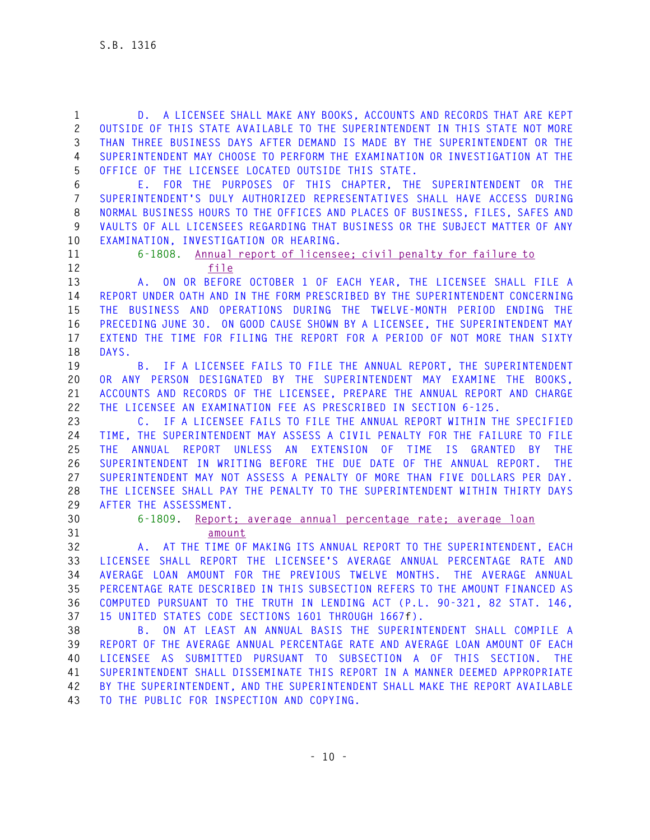**1 D. A LICENSEE SHALL MAKE ANY BOOKS, ACCOUNTS AND RECORDS THAT ARE KEPT 2 OUTSIDE OF THIS STATE AVAILABLE TO THE SUPERINTENDENT IN THIS STATE NOT MORE 3 THAN THREE BUSINESS DAYS AFTER DEMAND IS MADE BY THE SUPERINTENDENT OR THE 4 SUPERINTENDENT MAY CHOOSE TO PERFORM THE EXAMINATION OR INVESTIGATION AT THE 5 OFFICE OF THE LICENSEE LOCATED OUTSIDE THIS STATE. 6 E. FOR THE PURPOSES OF THIS CHAPTER, THE SUPERINTENDENT OR THE 7 SUPERINTENDENT'S DULY AUTHORIZED REPRESENTATIVES SHALL HAVE ACCESS DURING 8 NORMAL BUSINESS HOURS TO THE OFFICES AND PLACES OF BUSINESS, FILES, SAFES AND 9 VAULTS OF ALL LICENSEES REGARDING THAT BUSINESS OR THE SUBJECT MATTER OF ANY 10 EXAMINATION, INVESTIGATION OR HEARING. 11 6-1808. Annual report of licensee; civil penalty for failure to 12 file 13 A. ON OR BEFORE OCTOBER 1 OF EACH YEAR, THE LICENSEE SHALL FILE A 14 REPORT UNDER OATH AND IN THE FORM PRESCRIBED BY THE SUPERINTENDENT CONCERNING 15 THE BUSINESS AND OPERATIONS DURING THE TWELVE-MONTH PERIOD ENDING THE 16 PRECEDING JUNE 30. ON GOOD CAUSE SHOWN BY A LICENSEE, THE SUPERINTENDENT MAY 17 EXTEND THE TIME FOR FILING THE REPORT FOR A PERIOD OF NOT MORE THAN SIXTY 18 DAYS. 19 B. IF A LICENSEE FAILS TO FILE THE ANNUAL REPORT, THE SUPERINTENDENT 20 OR ANY PERSON DESIGNATED BY THE SUPERINTENDENT MAY EXAMINE THE BOOKS, 21 ACCOUNTS AND RECORDS OF THE LICENSEE, PREPARE THE ANNUAL REPORT AND CHARGE 22 THE LICENSEE AN EXAMINATION FEE AS PRESCRIBED IN SECTION 6-125. 23 C. IF A LICENSEE FAILS TO FILE THE ANNUAL REPORT WITHIN THE SPECIFIED 24 TIME, THE SUPERINTENDENT MAY ASSESS A CIVIL PENALTY FOR THE FAILURE TO FILE 25 THE ANNUAL REPORT UNLESS AN EXTENSION OF TIME IS GRANTED BY THE 26 SUPERINTENDENT IN WRITING BEFORE THE DUE DATE OF THE ANNUAL REPORT. THE 27 SUPERINTENDENT MAY NOT ASSESS A PENALTY OF MORE THAN FIVE DOLLARS PER DAY. 28 THE LICENSEE SHALL PAY THE PENALTY TO THE SUPERINTENDENT WITHIN THIRTY DAYS 29 AFTER THE ASSESSMENT. 30 6-1809. Report; average annual percentage rate; average loan 31 amount 32 A. AT THE TIME OF MAKING ITS ANNUAL REPORT TO THE SUPERINTENDENT, EACH 33 LICENSEE SHALL REPORT THE LICENSEE'S AVERAGE ANNUAL PERCENTAGE RATE AND 34 AVERAGE LOAN AMOUNT FOR THE PREVIOUS TWELVE MONTHS. THE AVERAGE ANNUAL 35 PERCENTAGE RATE DESCRIBED IN THIS SUBSECTION REFERS TO THE AMOUNT FINANCED AS 36 COMPUTED PURSUANT TO THE TRUTH IN LENDING ACT (P.L. 90-321, 82 STAT. 146, 37 15 UNITED STATES CODE SECTIONS 1601 THROUGH 1667f). 38 B. ON AT LEAST AN ANNUAL BASIS THE SUPERINTENDENT SHALL COMPILE A 39 REPORT OF THE AVERAGE ANNUAL PERCENTAGE RATE AND AVERAGE LOAN AMOUNT OF EACH 40 LICENSEE AS SUBMITTED PURSUANT TO SUBSECTION A OF THIS SECTION. THE 41 SUPERINTENDENT SHALL DISSEMINATE THIS REPORT IN A MANNER DEEMED APPROPRIATE 42 BY THE SUPERINTENDENT, AND THE SUPERINTENDENT SHALL MAKE THE REPORT AVAILABLE 43 TO THE PUBLIC FOR INSPECTION AND COPYING.**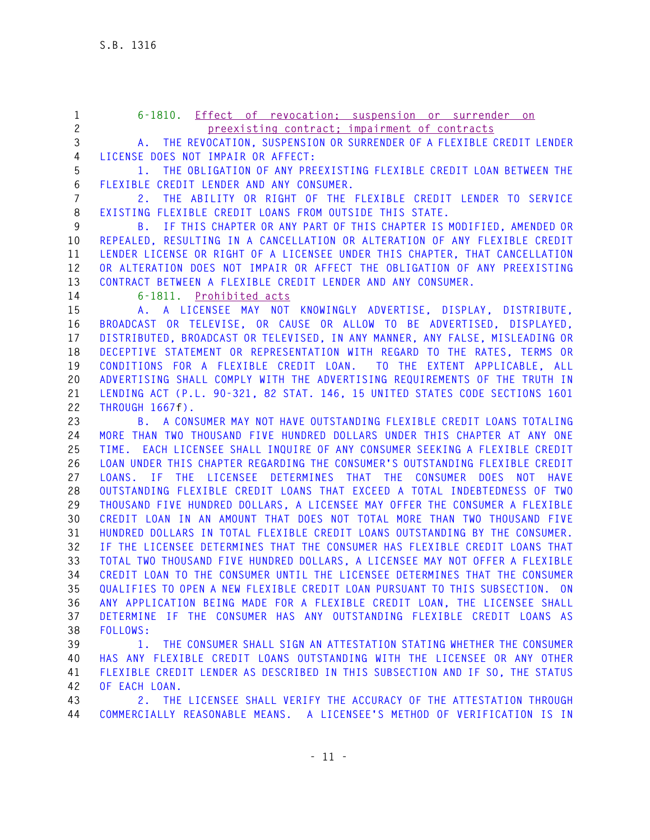**1 6-1810. Effect of revocation; suspension or surrender on 2 preexisting contract; impairment of contracts 3 A. THE REVOCATION, SUSPENSION OR SURRENDER OF A FLEXIBLE CREDIT LENDER 4 LICENSE DOES NOT IMPAIR OR AFFECT: 5 1. THE OBLIGATION OF ANY PREEXISTING FLEXIBLE CREDIT LOAN BETWEEN THE 6 FLEXIBLE CREDIT LENDER AND ANY CONSUMER. 7 2. THE ABILITY OR RIGHT OF THE FLEXIBLE CREDIT LENDER TO SERVICE 8 EXISTING FLEXIBLE CREDIT LOANS FROM OUTSIDE THIS STATE. 9 B. IF THIS CHAPTER OR ANY PART OF THIS CHAPTER IS MODIFIED, AMENDED OR 10 REPEALED, RESULTING IN A CANCELLATION OR ALTERATION OF ANY FLEXIBLE CREDIT 11 LENDER LICENSE OR RIGHT OF A LICENSEE UNDER THIS CHAPTER, THAT CANCELLATION 12 OR ALTERATION DOES NOT IMPAIR OR AFFECT THE OBLIGATION OF ANY PREEXISTING 13 CONTRACT BETWEEN A FLEXIBLE CREDIT LENDER AND ANY CONSUMER. 14 6-1811. Prohibited acts 15 A. A LICENSEE MAY NOT KNOWINGLY ADVERTISE, DISPLAY, DISTRIBUTE, 16 BROADCAST OR TELEVISE, OR CAUSE OR ALLOW TO BE ADVERTISED, DISPLAYED, 17 DISTRIBUTED, BROADCAST OR TELEVISED, IN ANY MANNER, ANY FALSE, MISLEADING OR 18 DECEPTIVE STATEMENT OR REPRESENTATION WITH REGARD TO THE RATES, TERMS OR 19 CONDITIONS FOR A FLEXIBLE CREDIT LOAN. TO THE EXTENT APPLICABLE, ALL 20 ADVERTISING SHALL COMPLY WITH THE ADVERTISING REQUIREMENTS OF THE TRUTH IN 21 LENDING ACT (P.L. 90-321, 82 STAT. 146, 15 UNITED STATES CODE SECTIONS 1601 22 THROUGH 1667f). 23 B. A CONSUMER MAY NOT HAVE OUTSTANDING FLEXIBLE CREDIT LOANS TOTALING 24 MORE THAN TWO THOUSAND FIVE HUNDRED DOLLARS UNDER THIS CHAPTER AT ANY ONE 25 TIME. EACH LICENSEE SHALL INQUIRE OF ANY CONSUMER SEEKING A FLEXIBLE CREDIT 26 LOAN UNDER THIS CHAPTER REGARDING THE CONSUMER'S OUTSTANDING FLEXIBLE CREDIT 27 LOANS. IF THE LICENSEE DETERMINES THAT THE CONSUMER DOES NOT HAVE 28 OUTSTANDING FLEXIBLE CREDIT LOANS THAT EXCEED A TOTAL INDEBTEDNESS OF TWO 29 THOUSAND FIVE HUNDRED DOLLARS, A LICENSEE MAY OFFER THE CONSUMER A FLEXIBLE 30 CREDIT LOAN IN AN AMOUNT THAT DOES NOT TOTAL MORE THAN TWO THOUSAND FIVE 31 HUNDRED DOLLARS IN TOTAL FLEXIBLE CREDIT LOANS OUTSTANDING BY THE CONSUMER. 32 IF THE LICENSEE DETERMINES THAT THE CONSUMER HAS FLEXIBLE CREDIT LOANS THAT 33 TOTAL TWO THOUSAND FIVE HUNDRED DOLLARS, A LICENSEE MAY NOT OFFER A FLEXIBLE 34 CREDIT LOAN TO THE CONSUMER UNTIL THE LICENSEE DETERMINES THAT THE CONSUMER 35 QUALIFIES TO OPEN A NEW FLEXIBLE CREDIT LOAN PURSUANT TO THIS SUBSECTION. ON 36 ANY APPLICATION BEING MADE FOR A FLEXIBLE CREDIT LOAN, THE LICENSEE SHALL 37 DETERMINE IF THE CONSUMER HAS ANY OUTSTANDING FLEXIBLE CREDIT LOANS AS 38 FOLLOWS: 39 1. THE CONSUMER SHALL SIGN AN ATTESTATION STATING WHETHER THE CONSUMER 40 HAS ANY FLEXIBLE CREDIT LOANS OUTSTANDING WITH THE LICENSEE OR ANY OTHER 41 FLEXIBLE CREDIT LENDER AS DESCRIBED IN THIS SUBSECTION AND IF SO, THE STATUS 42 OF EACH LOAN.** 

**43 2. THE LICENSEE SHALL VERIFY THE ACCURACY OF THE ATTESTATION THROUGH 44 COMMERCIALLY REASONABLE MEANS. A LICENSEE'S METHOD OF VERIFICATION IS IN**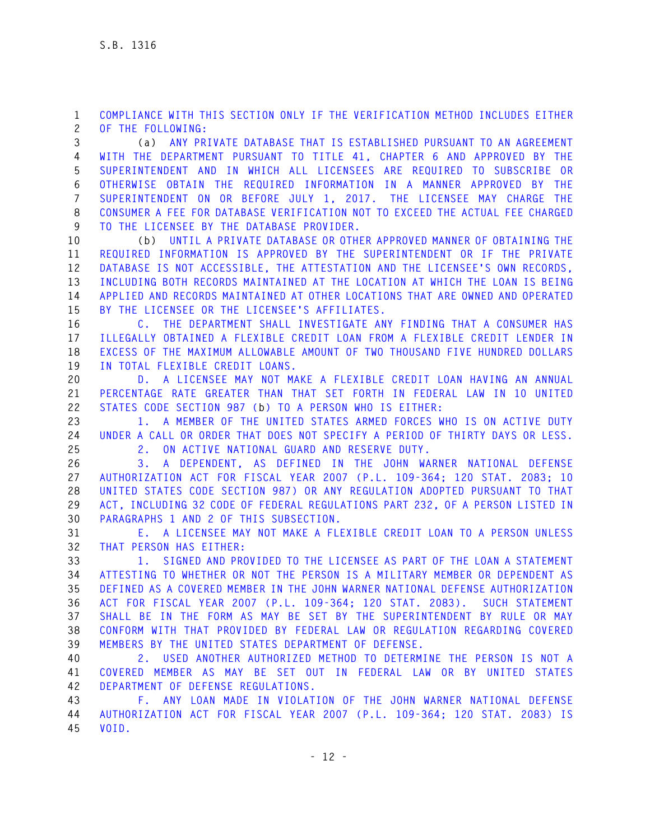**1 COMPLIANCE WITH THIS SECTION ONLY IF THE VERIFICATION METHOD INCLUDES EITHER 2 OF THE FOLLOWING:** 

**3 (a) ANY PRIVATE DATABASE THAT IS ESTABLISHED PURSUANT TO AN AGREEMENT 4 WITH THE DEPARTMENT PURSUANT TO TITLE 41, CHAPTER 6 AND APPROVED BY THE 5 SUPERINTENDENT AND IN WHICH ALL LICENSEES ARE REQUIRED TO SUBSCRIBE OR 6 OTHERWISE OBTAIN THE REQUIRED INFORMATION IN A MANNER APPROVED BY THE 7 SUPERINTENDENT ON OR BEFORE JULY 1, 2017. THE LICENSEE MAY CHARGE THE 8 CONSUMER A FEE FOR DATABASE VERIFICATION NOT TO EXCEED THE ACTUAL FEE CHARGED 9 TO THE LICENSEE BY THE DATABASE PROVIDER.** 

**10 (b) UNTIL A PRIVATE DATABASE OR OTHER APPROVED MANNER OF OBTAINING THE 11 REQUIRED INFORMATION IS APPROVED BY THE SUPERINTENDENT OR IF THE PRIVATE 12 DATABASE IS NOT ACCESSIBLE, THE ATTESTATION AND THE LICENSEE'S OWN RECORDS, 13 INCLUDING BOTH RECORDS MAINTAINED AT THE LOCATION AT WHICH THE LOAN IS BEING 14 APPLIED AND RECORDS MAINTAINED AT OTHER LOCATIONS THAT ARE OWNED AND OPERATED 15 BY THE LICENSEE OR THE LICENSEE'S AFFILIATES.** 

**16 C. THE DEPARTMENT SHALL INVESTIGATE ANY FINDING THAT A CONSUMER HAS 17 ILLEGALLY OBTAINED A FLEXIBLE CREDIT LOAN FROM A FLEXIBLE CREDIT LENDER IN 18 EXCESS OF THE MAXIMUM ALLOWABLE AMOUNT OF TWO THOUSAND FIVE HUNDRED DOLLARS 19 IN TOTAL FLEXIBLE CREDIT LOANS.** 

**20 D. A LICENSEE MAY NOT MAKE A FLEXIBLE CREDIT LOAN HAVING AN ANNUAL 21 PERCENTAGE RATE GREATER THAN THAT SET FORTH IN FEDERAL LAW IN 10 UNITED 22 STATES CODE SECTION 987 (b) TO A PERSON WHO IS EITHER:** 

**23 1. A MEMBER OF THE UNITED STATES ARMED FORCES WHO IS ON ACTIVE DUTY 24 UNDER A CALL OR ORDER THAT DOES NOT SPECIFY A PERIOD OF THIRTY DAYS OR LESS. 25 2. ON ACTIVE NATIONAL GUARD AND RESERVE DUTY.** 

**26 3. A DEPENDENT, AS DEFINED IN THE JOHN WARNER NATIONAL DEFENSE 27 AUTHORIZATION ACT FOR FISCAL YEAR 2007 (P.L. 109-364; 120 STAT. 2083; 10 28 UNITED STATES CODE SECTION 987) OR ANY REGULATION ADOPTED PURSUANT TO THAT 29 ACT, INCLUDING 32 CODE OF FEDERAL REGULATIONS PART 232, OF A PERSON LISTED IN 30 PARAGRAPHS 1 AND 2 OF THIS SUBSECTION.** 

**31 E. A LICENSEE MAY NOT MAKE A FLEXIBLE CREDIT LOAN TO A PERSON UNLESS 32 THAT PERSON HAS EITHER:** 

**33 1. SIGNED AND PROVIDED TO THE LICENSEE AS PART OF THE LOAN A STATEMENT 34 ATTESTING TO WHETHER OR NOT THE PERSON IS A MILITARY MEMBER OR DEPENDENT AS 35 DEFINED AS A COVERED MEMBER IN THE JOHN WARNER NATIONAL DEFENSE AUTHORIZATION 36 ACT FOR FISCAL YEAR 2007 (P.L. 109-364; 120 STAT. 2083). SUCH STATEMENT 37 SHALL BE IN THE FORM AS MAY BE SET BY THE SUPERINTENDENT BY RULE OR MAY 38 CONFORM WITH THAT PROVIDED BY FEDERAL LAW OR REGULATION REGARDING COVERED 39 MEMBERS BY THE UNITED STATES DEPARTMENT OF DEFENSE.** 

**40 2. USED ANOTHER AUTHORIZED METHOD TO DETERMINE THE PERSON IS NOT A 41 COVERED MEMBER AS MAY BE SET OUT IN FEDERAL LAW OR BY UNITED STATES 42 DEPARTMENT OF DEFENSE REGULATIONS.** 

**43 F. ANY LOAN MADE IN VIOLATION OF THE JOHN WARNER NATIONAL DEFENSE 44 AUTHORIZATION ACT FOR FISCAL YEAR 2007 (P.L. 109-364; 120 STAT. 2083) IS 45 VOID.**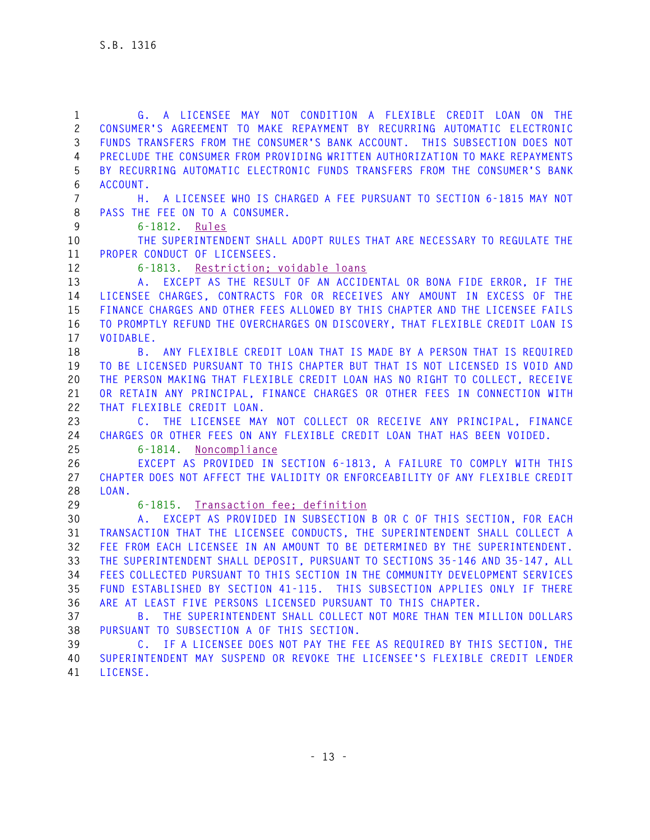| 1                 | G. A LICENSEE MAY NOT CONDITION A FLEXIBLE CREDIT LOAN ON THE                                                                                          |
|-------------------|--------------------------------------------------------------------------------------------------------------------------------------------------------|
| $\mathbf{2}$<br>3 | CONSUMER'S AGREEMENT TO MAKE REPAYMENT BY RECURRING AUTOMATIC ELECTRONIC<br>FUNDS TRANSFERS FROM THE CONSUMER'S BANK ACCOUNT. THIS SUBSECTION DOES NOT |
| 4                 | PRECLUDE THE CONSUMER FROM PROVIDING WRITTEN AUTHORIZATION TO MAKE REPAYMENTS                                                                          |
| 5                 | BY RECURRING AUTOMATIC ELECTRONIC FUNDS TRANSFERS FROM THE CONSUMER'S BANK                                                                             |
| 6                 | ACCOUNT.                                                                                                                                               |
| $\overline{7}$    | A LICENSEE WHO IS CHARGED A FEE PURSUANT TO SECTION 6-1815 MAY NOT<br>Н.                                                                               |
| 8                 | PASS THE FEE ON TO A CONSUMER.                                                                                                                         |
| $\overline{9}$    | 6-1812. Rules                                                                                                                                          |
| 10                | THE SUPERINTENDENT SHALL ADOPT RULES THAT ARE NECESSARY TO REGULATE THE                                                                                |
| 11                | PROPER CONDUCT OF LICENSEES.                                                                                                                           |
| 12                | 6-1813. Restriction; voidable loans                                                                                                                    |
| 13                | A. EXCEPT AS THE RESULT OF AN ACCIDENTAL OR BONA FIDE ERROR, IF THE                                                                                    |
| 14                | LICENSEE CHARGES, CONTRACTS FOR OR RECEIVES ANY AMOUNT IN EXCESS OF THE                                                                                |
| 15                | FINANCE CHARGES AND OTHER FEES ALLOWED BY THIS CHAPTER AND THE LICENSEE FAILS                                                                          |
| 16                | TO PROMPTLY REFUND THE OVERCHARGES ON DISCOVERY, THAT FLEXIBLE CREDIT LOAN IS                                                                          |
| 17                | VOIDABLE.                                                                                                                                              |
| 18                | ANY FLEXIBLE CREDIT LOAN THAT IS MADE BY A PERSON THAT IS REQUIRED<br>B.                                                                               |
| 19                | TO BE LICENSED PURSUANT TO THIS CHAPTER BUT THAT IS NOT LICENSED IS VOID AND                                                                           |
| 20                | THE PERSON MAKING THAT FLEXIBLE CREDIT LOAN HAS NO RIGHT TO COLLECT, RECEIVE                                                                           |
| 21                | OR RETAIN ANY PRINCIPAL, FINANCE CHARGES OR OTHER FEES IN CONNECTION WITH                                                                              |
| 22                | THAT FLEXIBLE CREDIT LOAN.                                                                                                                             |
| 23                | C. THE LICENSEE MAY NOT COLLECT OR RECEIVE ANY PRINCIPAL, FINANCE                                                                                      |
| 24                | CHARGES OR OTHER FEES ON ANY FLEXIBLE CREDIT LOAN THAT HAS BEEN VOIDED.                                                                                |
| 25                | 6-1814. Noncompliance                                                                                                                                  |
| 26                | EXCEPT AS PROVIDED IN SECTION 6-1813, A FAILURE TO COMPLY WITH THIS                                                                                    |
| 27                | CHAPTER DOES NOT AFFECT THE VALIDITY OR ENFORCEABILITY OF ANY FLEXIBLE CREDIT                                                                          |
| 28                | LOAN.                                                                                                                                                  |
| 29                | 6-1815. Iransaction fee: definition                                                                                                                    |
| 30                | A. EXCEPT AS PROVIDED IN SUBSECTION B OR C OF THIS SECTION, FOR EACH                                                                                   |
| 31                | TRANSACTION THAT THE LICENSEE CONDUCTS, THE SUPERINTENDENT SHALL COLLECT A                                                                             |
| 32                | FEE FROM EACH LICENSEE IN AN AMOUNT TO BE DETERMINED BY THE SUPERINTENDENT.                                                                            |
| 33                | THE SUPERINTENDENT SHALL DEPOSIT, PURSUANT TO SECTIONS 35-146 AND 35-147, ALL                                                                          |
| 34                | FEES COLLECTED PURSUANT TO THIS SECTION IN THE COMMUNITY DEVELOPMENT SERVICES                                                                          |
| 35                | FUND ESTABLISHED BY SECTION 41-115. THIS SUBSECTION APPLIES ONLY IF THERE                                                                              |
| 36                | ARE AT LEAST FIVE PERSONS LICENSED PURSUANT TO THIS CHAPTER.                                                                                           |
| 37                | B. THE SUPERINTENDENT SHALL COLLECT NOT MORE THAN TEN MILLION DOLLARS                                                                                  |
| 38                | PURSUANT TO SUBSECTION A OF THIS SECTION.                                                                                                              |
| 39                | C. IF A LICENSEE DOES NOT PAY THE FEE AS REQUIRED BY THIS SECTION, THE                                                                                 |
| 40                | SUPERINTENDENT MAY SUSPEND OR REVOKE THE LICENSEE'S FLEXIBLE CREDIT LENDER                                                                             |

**41 LICENSE.**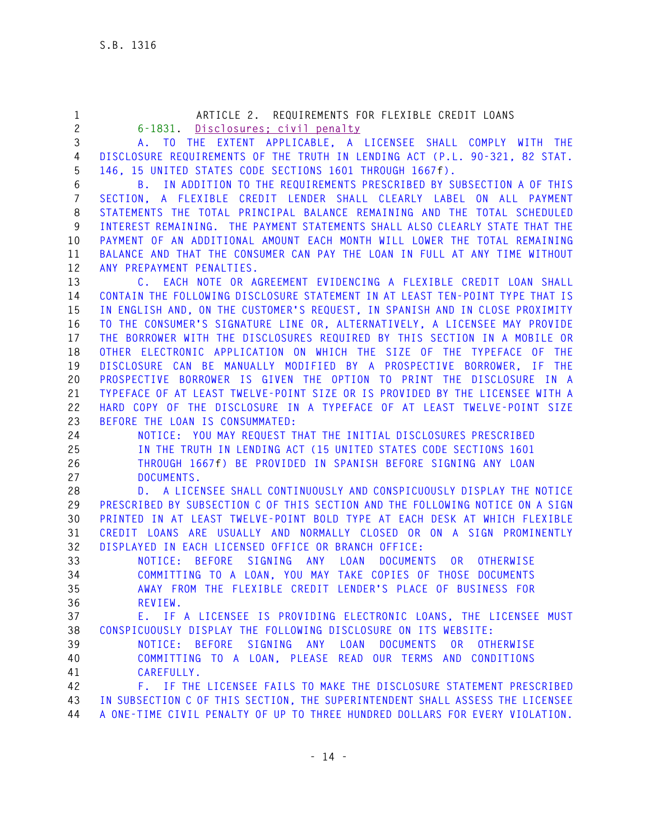| 1              | ARTICLE 2. REQUIREMENTS FOR FLEXIBLE CREDIT LOANS                                |
|----------------|----------------------------------------------------------------------------------|
| $\overline{c}$ | 6-1831. Disclosures: civil penalty                                               |
| 3              | A. TO THE EXTENT APPLICABLE, A LICENSEE SHALL COMPLY WITH THE                    |
| 4              | DISCLOSURE REQUIREMENTS OF THE TRUTH IN LENDING ACT (P.L. 90-321, 82 STAT.       |
| 5              | 146, 15 UNITED STATES CODE SECTIONS 1601 THROUGH 1667f).                         |
| 6              | B. IN ADDITION TO THE REQUIREMENTS PRESCRIBED BY SUBSECTION A OF THIS            |
| $\overline{7}$ | SECTION, A FLEXIBLE CREDIT LENDER SHALL CLEARLY LABEL ON ALL PAYMENT             |
| 8              | STATEMENTS THE TOTAL PRINCIPAL BALANCE REMAINING AND THE TOTAL SCHEDULED         |
| 9              | INTEREST REMAINING. THE PAYMENT STATEMENTS SHALL ALSO CLEARLY STATE THAT THE     |
| 10             | PAYMENT OF AN ADDITIONAL AMOUNT EACH MONTH WILL LOWER THE TOTAL REMAINING        |
| 11             | BALANCE AND THAT THE CONSUMER CAN PAY THE LOAN IN FULL AT ANY TIME WITHOUT       |
| 12             | ANY PREPAYMENT PENALTIES.                                                        |
| 13             | C. EACH NOTE OR AGREEMENT EVIDENCING A FLEXIBLE CREDIT LOAN SHALL                |
| 14             | CONTAIN THE FOLLOWING DISCLOSURE STATEMENT IN AT LEAST TEN-POINT TYPE THAT IS    |
| 15             | IN ENGLISH AND, ON THE CUSTOMER'S REQUEST, IN SPANISH AND IN CLOSE PROXIMITY     |
| 16             | TO THE CONSUMER'S SIGNATURE LINE OR, ALTERNATIVELY, A LICENSEE MAY PROVIDE       |
| 17             | THE BORROWER WITH THE DISCLOSURES REQUIRED BY THIS SECTION IN A MOBILE OR        |
| 18             | OTHER ELECTRONIC APPLICATION ON WHICH THE SIZE OF THE TYPEFACE OF THE            |
| 19             | DISCLOSURE CAN BE MANUALLY MODIFIED BY A PROSPECTIVE BORROWER, IF THE            |
| 20             | PROSPECTIVE BORROWER IS GIVEN THE OPTION TO PRINT THE DISCLOSURE IN A            |
| 21             | TYPEFACE OF AT LEAST TWELVE-POINT SIZE OR IS PROVIDED BY THE LICENSEE WITH A     |
| 22             | HARD COPY OF THE DISCLOSURE IN A TYPEFACE OF AT LEAST TWELVE-POINT SIZE          |
| 23             | BEFORE THE LOAN IS CONSUMMATED:                                                  |
| 24             | NOTICE: YOU MAY REQUEST THAT THE INITIAL DISCLOSURES PRESCRIBED                  |
| 25             | IN THE TRUTH IN LENDING ACT (15 UNITED STATES CODE SECTIONS 1601                 |
| 26             | THROUGH 1667f) BE PROVIDED IN SPANISH BEFORE SIGNING ANY LOAN                    |
| 27             | DOCUMENTS.                                                                       |
| 28             | D. A LICENSEE SHALL CONTINUOUSLY AND CONSPICUOUSLY DISPLAY THE NOTICE            |
| 29             | PRESCRIBED BY SUBSECTION C OF THIS SECTION AND THE FOLLOWING NOTICE ON A SIGN    |
| 30             | PRINTED IN AT LEAST TWELVE-POINT BOLD TYPE AT EACH DESK AT WHICH FLEXIBLE        |
| 31             | CREDIT LOANS ARE USUALLY AND NORMALLY CLOSED OR ON A SIGN PROMINENTLY            |
| 32             | DISPLAYED IN EACH LICENSED OFFICE OR BRANCH OFFICE:                              |
| 33             | BEFORE SIGNING ANY LOAN<br><b>DOCUMENTS</b><br>NOTICE:<br>OR<br><b>OTHERWISE</b> |
| 34             | COMMITTING TO A LOAN, YOU MAY TAKE COPIES OF THOSE DOCUMENTS                     |
| 35             | AWAY FROM THE FLEXIBLE CREDIT LENDER'S PLACE OF BUSINESS FOR                     |
| 36             | REVIEW.                                                                          |
| 37             | E. IF A LICENSEE IS PROVIDING ELECTRONIC LOANS, THE LICENSEE MUST                |
| 38             | CONSPICUOUSLY DISPLAY THE FOLLOWING DISCLOSURE ON ITS WEBSITE:                   |
| 39             | NOTICE: BEFORE SIGNING ANY LOAN DOCUMENTS OR OTHERWISE                           |
| 40             | COMMITTING TO A LOAN, PLEASE READ OUR TERMS AND CONDITIONS                       |
| 41             | CAREFULLY.                                                                       |
| 42             | F. IF THE LICENSEE FAILS TO MAKE THE DISCLOSURE STATEMENT PRESCRIBED             |
| 43             | IN SUBSECTION C OF THIS SECTION, THE SUPERINTENDENT SHALL ASSESS THE LICENSEE    |
| 44             | A ONE-TIME CIVIL PENALTY OF UP TO THREE HUNDRED DOLLARS FOR EVERY VIOLATION.     |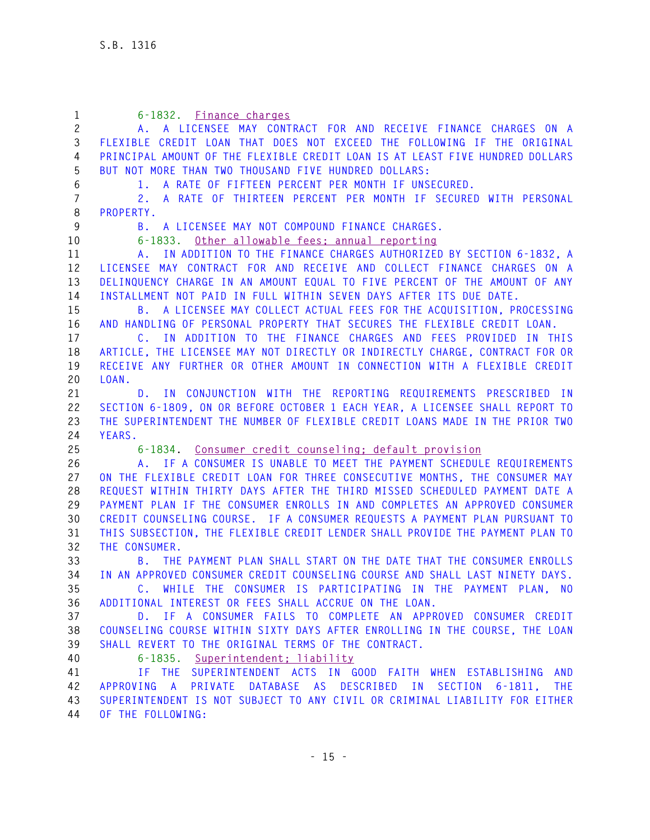| $\mathbf{1}$   | 6-1832. Finance charges                                                                                                 |
|----------------|-------------------------------------------------------------------------------------------------------------------------|
| $\mathbf{2}$   | A. A LICENSEE MAY CONTRACT FOR AND RECEIVE FINANCE CHARGES ON A                                                         |
| 3              | FLEXIBLE CREDIT LOAN THAT DOES NOT EXCEED THE FOLLOWING IF THE ORIGINAL                                                 |
| 4              | PRINCIPAL AMOUNT OF THE FLEXIBLE CREDIT LOAN IS AT LEAST FIVE HUNDRED DOLLARS                                           |
| 5              | BUT NOT MORE THAN TWO THOUSAND FIVE HUNDRED DOLLARS:                                                                    |
| 6              | 1. A RATE OF FIFTEEN PERCENT PER MONTH IF UNSECURED.                                                                    |
| $\overline{7}$ | 2. A RATE OF THIRTEEN PERCENT PER MONTH IF SECURED WITH PERSONAL                                                        |
| 8              | PROPERTY.                                                                                                               |
| 9              | A LICENSEE MAY NOT COMPOUND FINANCE CHARGES.<br>B.                                                                      |
| 10             | Other allowable fees; annual reporting<br>$6 - 1833.$                                                                   |
| 11             | A. IN ADDITION TO THE FINANCE CHARGES AUTHORIZED BY SECTION 6-1832, A                                                   |
| 12             | LICENSEE MAY CONTRACT FOR AND RECEIVE AND COLLECT FINANCE CHARGES ON A                                                  |
| 13             | DELINQUENCY CHARGE IN AN AMOUNT EQUAL TO FIVE PERCENT OF THE AMOUNT OF ANY                                              |
| 14             | INSTALLMENT NOT PAID IN FULL WITHIN SEVEN DAYS AFTER ITS DUE DATE.                                                      |
| 15             | A LICENSEE MAY COLLECT ACTUAL FEES FOR THE ACQUISITION, PROCESSING<br>B.,                                               |
| 16             | AND HANDLING OF PERSONAL PROPERTY THAT SECURES THE FLEXIBLE CREDIT LOAN.                                                |
| 17             | C. IN ADDITION TO THE FINANCE CHARGES AND FEES PROVIDED IN THIS                                                         |
| 18             | ARTICLE, THE LICENSEE MAY NOT DIRECTLY OR INDIRECTLY CHARGE, CONTRACT FOR OR                                            |
| 19             | RECEIVE ANY FURTHER OR OTHER AMOUNT IN CONNECTION WITH A FLEXIBLE CREDIT                                                |
| 20             | LOAN.                                                                                                                   |
| 21             | IN CONJUNCTION WITH THE REPORTING REQUIREMENTS PRESCRIBED IN<br>D.                                                      |
| 22             | SECTION 6-1809, ON OR BEFORE OCTOBER 1 EACH YEAR, A LICENSEE SHALL REPORT TO                                            |
| 23             | THE SUPERINTENDENT THE NUMBER OF FLEXIBLE CREDIT LOANS MADE IN THE PRIOR TWO                                            |
| 24             | YEARS.                                                                                                                  |
| 25             | 6-1834. Consumer credit counseling: default provision                                                                   |
| 26             | A. IF A CONSUMER IS UNABLE TO MEET THE PAYMENT SCHEDULE REQUIREMENTS                                                    |
| 27             | ON THE FLEXIBLE CREDIT LOAN FOR THREE CONSECUTIVE MONTHS, THE CONSUMER MAY                                              |
| 28             | REQUEST WITHIN THIRTY DAYS AFTER THE THIRD MISSED SCHEDULED PAYMENT DATE A                                              |
| 29             | PAYMENT PLAN IF THE CONSUMER ENROLLS IN AND COMPLETES AN APPROVED CONSUMER                                              |
| 30             | CREDIT COUNSELING COURSE. IF A CONSUMER REQUESTS A PAYMENT PLAN PURSUANT TO                                             |
| 31             | THIS SUBSECTION, THE FLEXIBLE CREDIT LENDER SHALL PROVIDE THE PAYMENT PLAN TO                                           |
| 32             | THE CONSUMER.                                                                                                           |
| 33             | B. THE PAYMENT PLAN SHALL START ON THE DATE THAT THE CONSUMER ENROLLS                                                   |
| 34             | IN AN APPROVED CONSUMER CREDIT COUNSELING COURSE AND SHALL LAST NINETY DAYS.                                            |
| 35             | C. WHILE THE CONSUMER IS PARTICIPATING IN THE PAYMENT PLAN, NO<br>ADDITIONAL INTEREST OR FEES SHALL ACCRUE ON THE LOAN. |
| 36<br>37       | D. IF A CONSUMER FAILS TO COMPLETE AN APPROVED CONSUMER CREDIT                                                          |
| 38             | COUNSELING COURSE WITHIN SIXTY DAYS AFTER ENROLLING IN THE COURSE, THE LOAN                                             |
| 39             | SHALL REVERT TO THE ORIGINAL TERMS OF THE CONTRACT.                                                                     |
| 40             | 6-1835. Superintendent; liability                                                                                       |
| 41             | SUPERINTENDENT ACTS IN GOOD FAITH WHEN ESTABLISHING AND<br>IF THE                                                       |
| 42             | PRIVATE DATABASE AS DESCRIBED IN SECTION 6-1811,<br>APPROVING A<br><b>THE</b>                                           |
| 43             | SUPERINTENDENT IS NOT SUBJECT TO ANY CIVIL OR CRIMINAL LIABILITY FOR EITHER                                             |
| 44             | OF THE FOLLOWING:                                                                                                       |
|                |                                                                                                                         |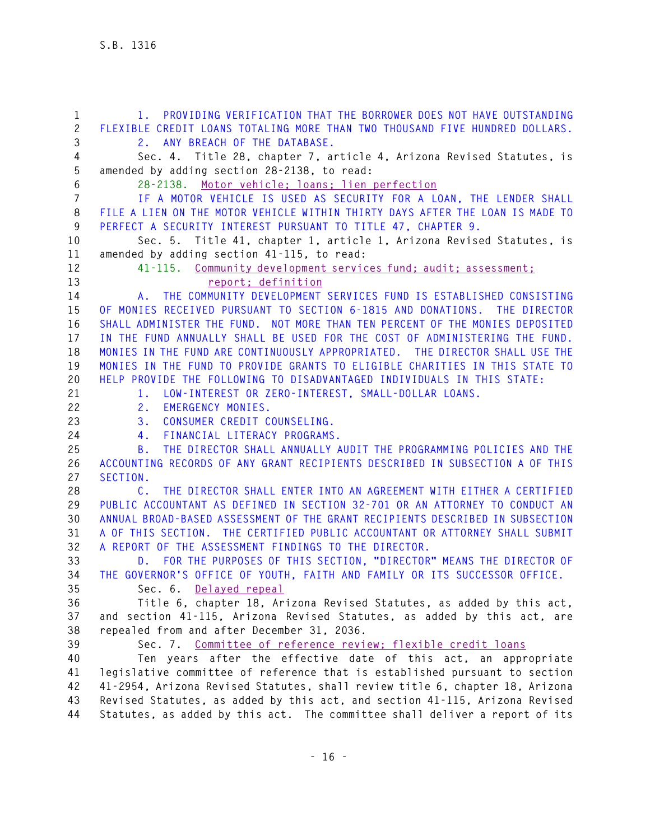**1 1. PROVIDING VERIFICATION THAT THE BORROWER DOES NOT HAVE OUTSTANDING 2 FLEXIBLE CREDIT LOANS TOTALING MORE THAN TWO THOUSAND FIVE HUNDRED DOLLARS. 3 2. ANY BREACH OF THE DATABASE. 4 Sec. 4. Title 28, chapter 7, article 4, Arizona Revised Statutes, is 5 amended by adding section 28-2138, to read: 6 28-2138. Motor vehicle; loans; lien perfection 7 IF A MOTOR VEHICLE IS USED AS SECURITY FOR A LOAN, THE LENDER SHALL 8 FILE A LIEN ON THE MOTOR VEHICLE WITHIN THIRTY DAYS AFTER THE LOAN IS MADE TO 9 PERFECT A SECURITY INTEREST PURSUANT TO TITLE 47, CHAPTER 9. 10 Sec. 5. Title 41, chapter 1, article 1, Arizona Revised Statutes, is 11 amended by adding section 41-115, to read: 12 41-115. Community development services fund; audit; assessment; 13 report; definition 14 A. THE COMMUNITY DEVELOPMENT SERVICES FUND IS ESTABLISHED CONSISTING 15 OF MONIES RECEIVED PURSUANT TO SECTION 6-1815 AND DONATIONS. THE DIRECTOR 16 SHALL ADMINISTER THE FUND. NOT MORE THAN TEN PERCENT OF THE MONIES DEPOSITED 17 IN THE FUND ANNUALLY SHALL BE USED FOR THE COST OF ADMINISTERING THE FUND. 18 MONIES IN THE FUND ARE CONTINUOUSLY APPROPRIATED. THE DIRECTOR SHALL USE THE 19 MONIES IN THE FUND TO PROVIDE GRANTS TO ELIGIBLE CHARITIES IN THIS STATE TO 20 HELP PROVIDE THE FOLLOWING TO DISADVANTAGED INDIVIDUALS IN THIS STATE: 21 1. LOW-INTEREST OR ZERO-INTEREST, SMALL-DOLLAR LOANS. 22 2. EMERGENCY MONIES. 23 3. CONSUMER CREDIT COUNSELING. 24 4. FINANCIAL LITERACY PROGRAMS. 25 B. THE DIRECTOR SHALL ANNUALLY AUDIT THE PROGRAMMING POLICIES AND THE 26 ACCOUNTING RECORDS OF ANY GRANT RECIPIENTS DESCRIBED IN SUBSECTION A OF THIS 27 SECTION. 28 C. THE DIRECTOR SHALL ENTER INTO AN AGREEMENT WITH EITHER A CERTIFIED 29 PUBLIC ACCOUNTANT AS DEFINED IN SECTION 32-701 OR AN ATTORNEY TO CONDUCT AN 30 ANNUAL BROAD-BASED ASSESSMENT OF THE GRANT RECIPIENTS DESCRIBED IN SUBSECTION 31 A OF THIS SECTION. THE CERTIFIED PUBLIC ACCOUNTANT OR ATTORNEY SHALL SUBMIT 32 A REPORT OF THE ASSESSMENT FINDINGS TO THE DIRECTOR. 33 D. FOR THE PURPOSES OF THIS SECTION, "DIRECTOR" MEANS THE DIRECTOR OF 34 THE GOVERNOR'S OFFICE OF YOUTH, FAITH AND FAMILY OR ITS SUCCESSOR OFFICE. 35 Sec. 6. Delayed repeal 36 Title 6, chapter 18, Arizona Revised Statutes, as added by this act, 37 and section 41-115, Arizona Revised Statutes, as added by this act, are 38 repealed from and after December 31, 2036. 39 Sec. 7. Committee of reference review; flexible credit loans 40 Ten years after the effective date of this act, an appropriate 41 legislative committee of reference that is established pursuant to section 42 41-2954, Arizona Revised Statutes, shall review title 6, chapter 18, Arizona 43 Revised Statutes, as added by this act, and section 41-115, Arizona Revised 44 Statutes, as added by this act. The committee shall deliver a report of its**